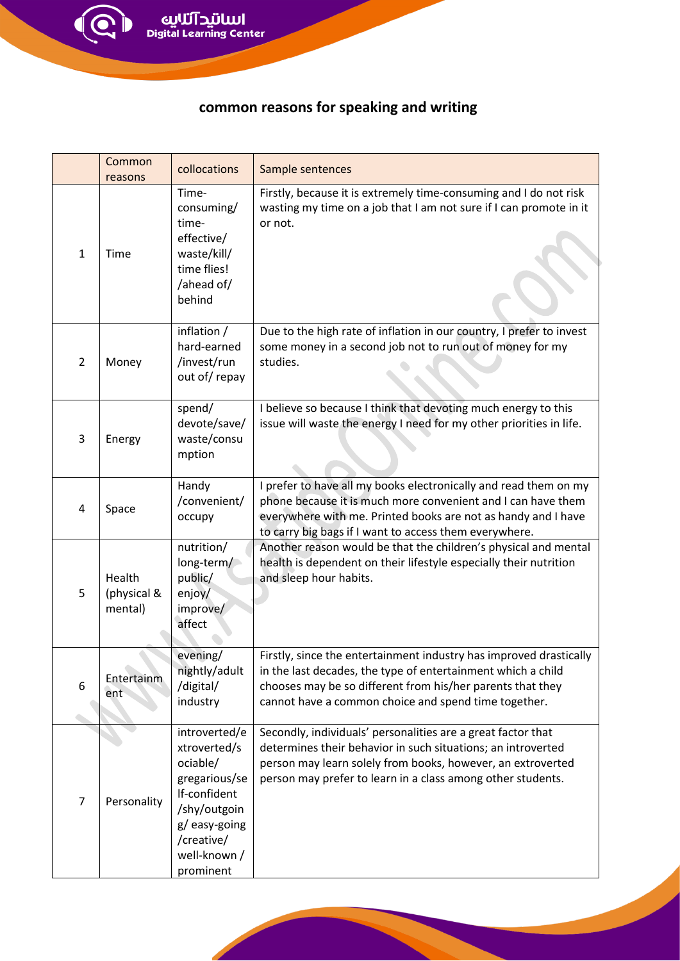Í

## **common reasons for speaking and writing**

|                | Common<br>reasons                | collocations                                                                                                                                          | Sample sentences                                                                                                                                                                                                                                            |
|----------------|----------------------------------|-------------------------------------------------------------------------------------------------------------------------------------------------------|-------------------------------------------------------------------------------------------------------------------------------------------------------------------------------------------------------------------------------------------------------------|
| $\mathbf{1}$   | Time                             | Time-<br>consuming/<br>time-<br>effective/<br>waste/kill/<br>time flies!<br>/ahead of/<br>behind                                                      | Firstly, because it is extremely time-consuming and I do not risk<br>wasting my time on a job that I am not sure if I can promote in it<br>or not.                                                                                                          |
| $\overline{2}$ | Money                            | inflation /<br>hard-earned<br>/invest/run<br>out of/repay                                                                                             | Due to the high rate of inflation in our country, I prefer to invest<br>some money in a second job not to run out of money for my<br>studies.                                                                                                               |
| 3              | Energy                           | spend/<br>devote/save/<br>waste/consu<br>mption                                                                                                       | I believe so because I think that devoting much energy to this<br>issue will waste the energy I need for my other priorities in life.                                                                                                                       |
| 4              | Space                            | Handy<br>/convenient/<br>occupy                                                                                                                       | I prefer to have all my books electronically and read them on my<br>phone because it is much more convenient and I can have them<br>everywhere with me. Printed books are not as handy and I have<br>to carry big bags if I want to access them everywhere. |
| 5              | Health<br>(physical &<br>mental) | nutrition/<br>long-term/<br>public/<br>enjoy/<br>improve/<br>affect                                                                                   | Another reason would be that the children's physical and mental<br>health is dependent on their lifestyle especially their nutrition<br>and sleep hour habits.                                                                                              |
| 6              | Entertainm<br>ent                | evening/<br>nightly/adult<br>/digital/<br>industry                                                                                                    | Firstly, since the entertainment industry has improved drastically<br>in the last decades, the type of entertainment which a child<br>chooses may be so different from his/her parents that they<br>cannot have a common choice and spend time together.    |
| 7              | Personality                      | introverted/e<br>xtroverted/s<br>ociable/<br>gregarious/se<br>If-confident<br>/shy/outgoin<br>g/easy-going<br>/creative/<br>well-known /<br>prominent | Secondly, individuals' personalities are a great factor that<br>determines their behavior in such situations; an introverted<br>person may learn solely from books, however, an extroverted<br>person may prefer to learn in a class among other students.  |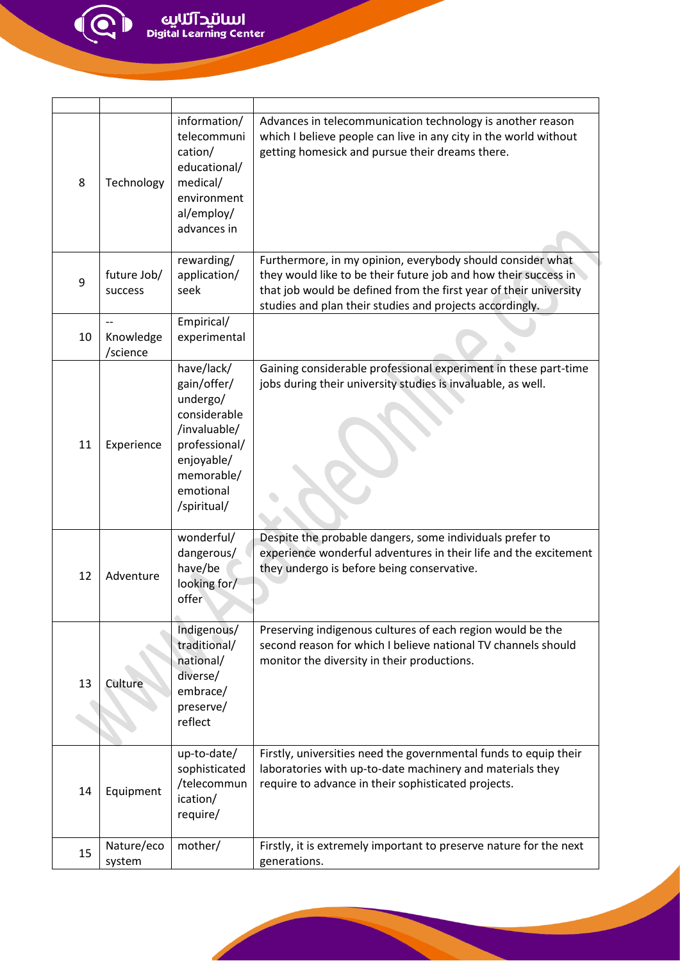$\bigodot$ 

| 8  | Technology                  | information/<br>telecommuni<br>cation/<br>educational/<br>medical/<br>environment<br>al/employ/<br>advances in                                 | Advances in telecommunication technology is another reason<br>which I believe people can live in any city in the world without<br>getting homesick and pursue their dreams there.                                                                              |
|----|-----------------------------|------------------------------------------------------------------------------------------------------------------------------------------------|----------------------------------------------------------------------------------------------------------------------------------------------------------------------------------------------------------------------------------------------------------------|
| 9  | future Job/<br>success      | rewarding/<br>application/<br>seek                                                                                                             | Furthermore, in my opinion, everybody should consider what<br>they would like to be their future job and how their success in<br>that job would be defined from the first year of their university<br>studies and plan their studies and projects accordingly. |
| 10 | --<br>Knowledge<br>/science | Empirical/<br>experimental                                                                                                                     |                                                                                                                                                                                                                                                                |
| 11 | Experience                  | have/lack/<br>gain/offer/<br>undergo/<br>considerable<br>/invaluable/<br>professional/<br>enjoyable/<br>memorable/<br>emotional<br>/spiritual/ | Gaining considerable professional experiment in these part-time<br>jobs during their university studies is invaluable, as well.                                                                                                                                |
| 12 | Adventure                   | wonderful/<br>dangerous/<br>have/be<br>looking for/<br>offer                                                                                   | Despite the probable dangers, some individuals prefer to<br>experience wonderful adventures in their life and the excitement<br>they undergo is before being conservative.                                                                                     |
| 13 | Culture                     | Indigenous/<br>traditional/<br>national/<br>diverse/<br>embrace/<br>preserve/<br>reflect                                                       | Preserving indigenous cultures of each region would be the<br>second reason for which I believe national TV channels should<br>monitor the diversity in their productions.                                                                                     |
| 14 | Equipment                   | up-to-date/<br>sophisticated<br>/telecommun<br>ication/<br>require/                                                                            | Firstly, universities need the governmental funds to equip their<br>laboratories with up-to-date machinery and materials they<br>require to advance in their sophisticated projects.                                                                           |
| 15 | Nature/eco<br>system        | mother/                                                                                                                                        | Firstly, it is extremely important to preserve nature for the next<br>generations.                                                                                                                                                                             |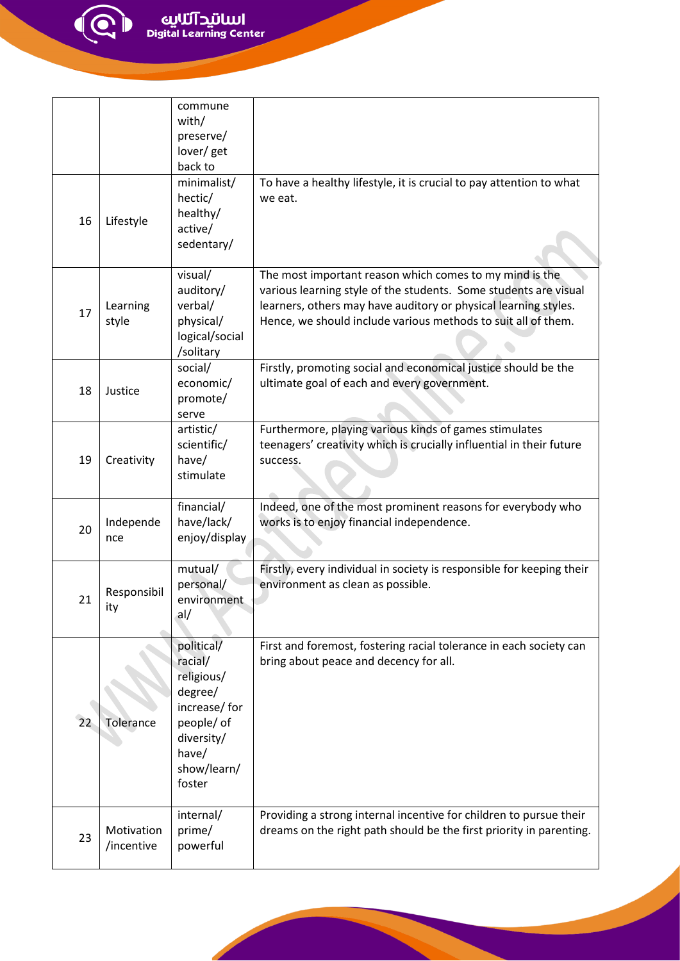الل**لاتيد آئلايي**<br>Digital Learning Center

 $\bigodot$ 

|    |                          | commune<br>with/<br>preserve/<br>lover/get<br>back to                                                                        |                                                                                                                                                                                                                                                                 |
|----|--------------------------|------------------------------------------------------------------------------------------------------------------------------|-----------------------------------------------------------------------------------------------------------------------------------------------------------------------------------------------------------------------------------------------------------------|
| 16 | Lifestyle                | minimalist/<br>hectic/<br>healthy/<br>active/<br>sedentary/                                                                  | To have a healthy lifestyle, it is crucial to pay attention to what<br>we eat.                                                                                                                                                                                  |
| 17 | Learning<br>style        | visual/<br>auditory/<br>verbal/<br>physical/<br>logical/social<br>/solitary                                                  | The most important reason which comes to my mind is the<br>various learning style of the students. Some students are visual<br>learners, others may have auditory or physical learning styles.<br>Hence, we should include various methods to suit all of them. |
| 18 | Justice                  | social/<br>economic/<br>promote/<br>serve                                                                                    | Firstly, promoting social and economical justice should be the<br>ultimate goal of each and every government.                                                                                                                                                   |
| 19 | Creativity               | artistic/<br>scientific/<br>have/<br>stimulate                                                                               | Furthermore, playing various kinds of games stimulates<br>teenagers' creativity which is crucially influential in their future<br>success.                                                                                                                      |
| 20 | Independe<br>nce         | financial/<br>have/lack/<br>enjoy/display                                                                                    | Indeed, one of the most prominent reasons for everybody who<br>works is to enjoy financial independence.                                                                                                                                                        |
| 21 | Responsibil<br>ιτγ       | mutual/<br>personal/<br>environment<br>al/                                                                                   | Firstly, every individual in society is responsible for keeping their<br>environment as clean as possible.                                                                                                                                                      |
| 22 | Tolerance                | political/<br>racial/<br>religious/<br>degree/<br>increase/for<br>people/ of<br>diversity/<br>have/<br>show/learn/<br>foster | First and foremost, fostering racial tolerance in each society can<br>bring about peace and decency for all.                                                                                                                                                    |
| 23 | Motivation<br>/incentive | internal/<br>prime/<br>powerful                                                                                              | Providing a strong internal incentive for children to pursue their<br>dreams on the right path should be the first priority in parenting.                                                                                                                       |